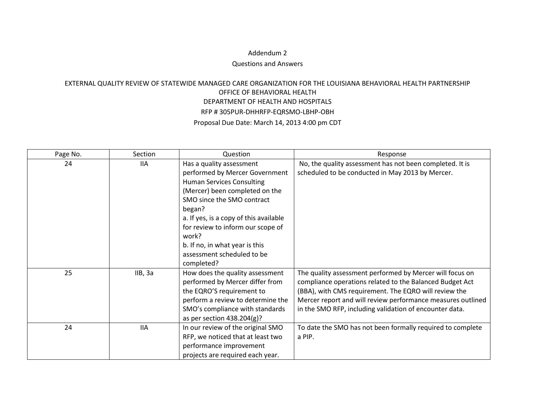## Addendum 2

## Questions and Answers

## EXTERNAL QUALITY REVIEW OF STATEWIDE MANAGED CARE ORGANIZATION FOR THE LOUISIANA BEHAVIORAL HEALTH PARTNERSHIP OFFICE OF BEHAVIORAL HEALTH DEPARTMENT OF HEALTH AND HOSPITALS RFP # 305PUR-DHHRFP-EQRSMO-LBHP-OBH Proposal Due Date: March 14, 2013 4:00 pm CDT

| Page No. | Section    | Question                               | Response                                                    |
|----------|------------|----------------------------------------|-------------------------------------------------------------|
| 24       | <b>IIA</b> | Has a quality assessment               | No, the quality assessment has not been completed. It is    |
|          |            | performed by Mercer Government         | scheduled to be conducted in May 2013 by Mercer.            |
|          |            | <b>Human Services Consulting</b>       |                                                             |
|          |            | (Mercer) been completed on the         |                                                             |
|          |            | SMO since the SMO contract             |                                                             |
|          |            | began?                                 |                                                             |
|          |            | a. If yes, is a copy of this available |                                                             |
|          |            | for review to inform our scope of      |                                                             |
|          |            | work?                                  |                                                             |
|          |            | b. If no, in what year is this         |                                                             |
|          |            | assessment scheduled to be             |                                                             |
|          |            | completed?                             |                                                             |
| 25       | IIB, 3a    | How does the quality assessment        | The quality assessment performed by Mercer will focus on    |
|          |            | performed by Mercer differ from        | compliance operations related to the Balanced Budget Act    |
|          |            | the EQRO'S requirement to              | (BBA), with CMS requirement. The EQRO will review the       |
|          |            | perform a review to determine the      | Mercer report and will review performance measures outlined |
|          |            | SMO's compliance with standards        | in the SMO RFP, including validation of encounter data.     |
|          |            | as per section $438.204(g)?$           |                                                             |
| 24       | <b>IIA</b> | In our review of the original SMO      | To date the SMO has not been formally required to complete  |
|          |            | RFP, we noticed that at least two      | a PIP.                                                      |
|          |            | performance improvement                |                                                             |
|          |            | projects are required each year.       |                                                             |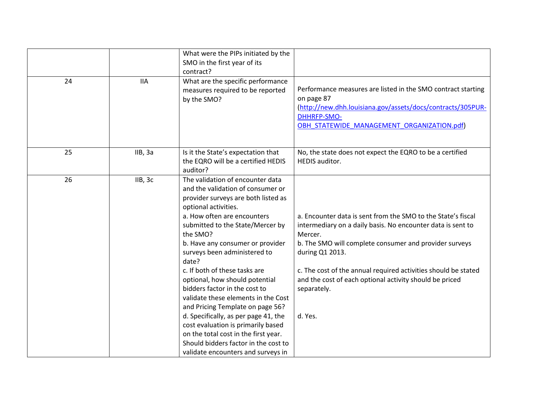| 24 | <b>IIA</b> | What were the PIPs initiated by the<br>SMO in the first year of its<br>contract?<br>What are the specific performance<br>measures required to be reported<br>by the SMO?                                                                                                                                                                                                                                                                                                                                                                                                                                                                                                            | Performance measures are listed in the SMO contract starting<br>on page 87                                                                                                                                                                                                                                                                                                 |
|----|------------|-------------------------------------------------------------------------------------------------------------------------------------------------------------------------------------------------------------------------------------------------------------------------------------------------------------------------------------------------------------------------------------------------------------------------------------------------------------------------------------------------------------------------------------------------------------------------------------------------------------------------------------------------------------------------------------|----------------------------------------------------------------------------------------------------------------------------------------------------------------------------------------------------------------------------------------------------------------------------------------------------------------------------------------------------------------------------|
|    |            |                                                                                                                                                                                                                                                                                                                                                                                                                                                                                                                                                                                                                                                                                     | (http://new.dhh.louisiana.gov/assets/docs/contracts/305PUR-<br><b>DHHRFP-SMO-</b><br>OBH STATEWIDE MANAGEMENT ORGANIZATION.pdf)                                                                                                                                                                                                                                            |
| 25 | IIB, 3a    | Is it the State's expectation that<br>the EQRO will be a certified HEDIS<br>auditor?                                                                                                                                                                                                                                                                                                                                                                                                                                                                                                                                                                                                | No, the state does not expect the EQRO to be a certified<br>HEDIS auditor.                                                                                                                                                                                                                                                                                                 |
| 26 | IIB, 3c    | The validation of encounter data<br>and the validation of consumer or<br>provider surveys are both listed as<br>optional activities.<br>a. How often are encounters<br>submitted to the State/Mercer by<br>the SMO?<br>b. Have any consumer or provider<br>surveys been administered to<br>date?<br>c. If both of these tasks are<br>optional, how should potential<br>bidders factor in the cost to<br>validate these elements in the Cost<br>and Pricing Template on page 56?<br>d. Specifically, as per page 41, the<br>cost evaluation is primarily based<br>on the total cost in the first year.<br>Should bidders factor in the cost to<br>validate encounters and surveys in | a. Encounter data is sent from the SMO to the State's fiscal<br>intermediary on a daily basis. No encounter data is sent to<br>Mercer.<br>b. The SMO will complete consumer and provider surveys<br>during Q1 2013.<br>c. The cost of the annual required activities should be stated<br>and the cost of each optional activity should be priced<br>separately.<br>d. Yes. |